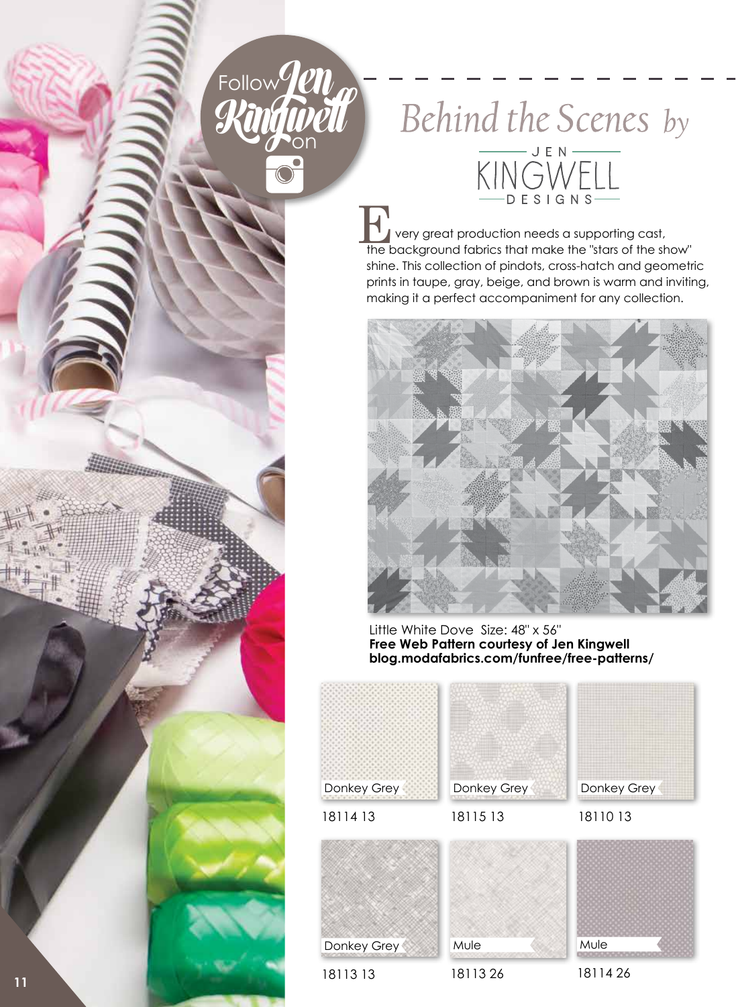## Follow<sup>0</sup>/211 on

Behind the Scenes by KINGWELL

 very great production needs a supporting cast, THE VERTING<br>
The background fabrics that make the "stars of the show"<br>
The background fabrics that make the "stars of the show" shine. This collection of pindots, cross-hatch and geometric prints in taupe, gray, beige, and brown is warm and inviting, making it a perfect accompaniment for any collection.



**Free Web Pattern courtesy of Jen Kingwell blog.modafabrics.com/funfree/free-patterns/**



18113 13

18113 26

18114 26